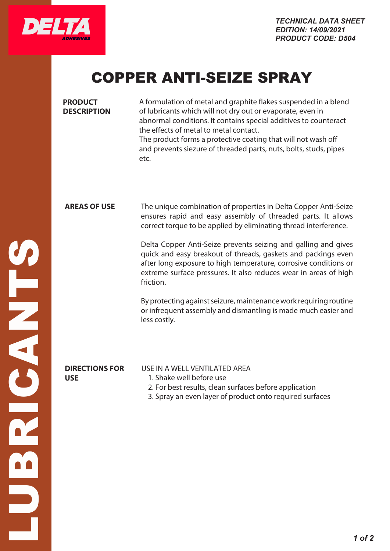

## COPPER ANTI-SEIZE SPRAY

| <b>PRODUCT</b><br><b>DESCRIPTION</b> | A formulation of metal and graphite flakes suspended in a blend<br>of lubricants which will not dry out or evaporate, even in<br>abnormal conditions. It contains special additives to counteract<br>the effects of metal to metal contact.<br>The product forms a protective coating that will not wash off<br>and prevents siezure of threaded parts, nuts, bolts, studs, pipes<br>etc.                                                                                                   |
|--------------------------------------|---------------------------------------------------------------------------------------------------------------------------------------------------------------------------------------------------------------------------------------------------------------------------------------------------------------------------------------------------------------------------------------------------------------------------------------------------------------------------------------------|
| <b>AREAS OF USE</b>                  | The unique combination of properties in Delta Copper Anti-Seize<br>ensures rapid and easy assembly of threaded parts. It allows<br>correct torque to be applied by eliminating thread interference.<br>Delta Copper Anti-Seize prevents seizing and galling and gives<br>quick and easy breakout of threads, gaskets and packings even<br>after long exposure to high temperature, corrosive conditions or<br>extreme surface pressures. It also reduces wear in areas of high<br>friction. |
|                                      | By protecting against seizure, maintenance work requiring routine<br>or infrequent assembly and dismantling is made much easier and<br>less costly.                                                                                                                                                                                                                                                                                                                                         |
| <b>DIRECTIONS FOR</b><br><b>USE</b>  | USE IN A WELL VENTILATED AREA<br>1. Shake well before use<br>2. For best results, clean surfaces before application<br>3. Spray an even layer of product onto required surfaces                                                                                                                                                                                                                                                                                                             |